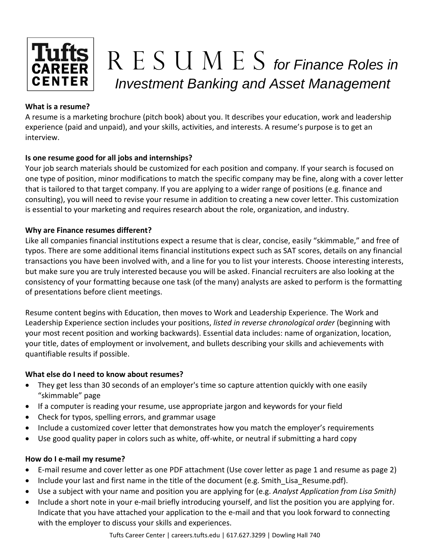

# Tufts R E S U M E S for Finance Roles in *Investment Banking and Asset Management*

# **What is a resume?**

A resume is a marketing brochure (pitch book) about you. It describes your education, work and leadership experience (paid and unpaid), and your skills, activities, and interests. A resume's purpose is to get an interview.

# **Is one resume good for all jobs and internships?**

Your job search materials should be customized for each position and company. If your search is focused on one type of position, minor modifications to match the specific company may be fine, along with a cover letter that is tailored to that target company. If you are applying to a wider range of positions (e.g. finance and consulting), you will need to revise your resume in addition to creating a new cover letter. This customization is essential to your marketing and requires research about the role, organization, and industry.

# **Why are Finance resumes different?**

Like all companies financial institutions expect a resume that is clear, concise, easily "skimmable," and free of typos. There are some additional items financial institutions expect such as SAT scores, details on any financial transactions you have been involved with, and a line for you to list your interests. Choose interesting interests, but make sure you are truly interested because you will be asked. Financial recruiters are also looking at the consistency of your formatting because one task (of the many) analysts are asked to perform is the formatting of presentations before client meetings.

Resume content begins with Education, then moves to Work and Leadership Experience. The Work and Leadership Experience section includes your positions, *listed in reverse chronological order* (beginning with your most recent position and working backwards). Essential data includes: name of organization, location, your title, dates of employment or involvement, and bullets describing your skills and achievements with quantifiable results if possible.

# **What else do I need to know about resumes?**

- They get less than 30 seconds of an employer's time so capture attention quickly with one easily "skimmable" page
- If a computer is reading your resume, use appropriate jargon and keywords for your field
- Check for typos, spelling errors, and grammar usage
- Include a customized cover letter that demonstrates how you match the employer's requirements
- Use good quality paper in colors such as white, off-white, or neutral if submitting a hard copy

# **How do I e-mail my resume?**

- E-mail resume and cover letter as one PDF attachment (Use cover letter as page 1 and resume as page 2)
- Include your last and first name in the title of the document (e.g. Smith\_Lisa\_Resume.pdf).
- Use a subject with your name and position you are applying for (e.g. *Analyst Application from Lisa Smith)*
- Include a short note in your e-mail briefly introducing yourself, and list the position you are applying for. Indicate that you have attached your application to the e-mail and that you look forward to connecting with the employer to discuss your skills and experiences.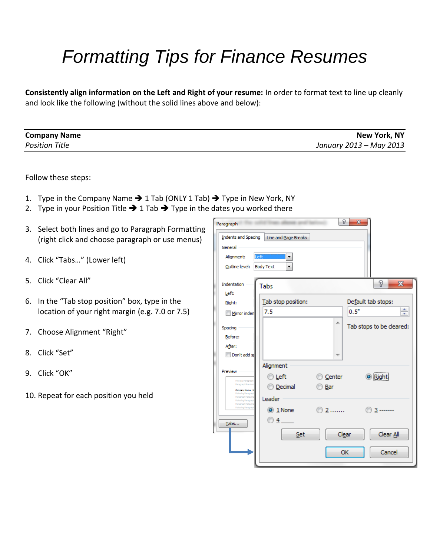# *Formatting Tips for Finance Resumes*

**Consistently align information on the Left and Right of your resume:** In order to format text to line up cleanly and look like the following (without the solid lines above and below):

| <b>Company Name</b>   | <b>New York, NY</b>     |
|-----------------------|-------------------------|
| <b>Position Title</b> | January 2013 – May 2013 |

Follow these steps:

- 1. Type in the Company Name  $\rightarrow$  1 Tab (ONLY 1 Tab)  $\rightarrow$  Type in New York, NY
- 2. Type in your Position Title  $\rightarrow$  1 Tab  $\rightarrow$  Type in the dates you worked there
- 3. Select both lines and go to Paragraph Formatting (right click and choose paragraph or use menus)
- 4. Click "Tabs…" (Lower left)
- 5. Click "Clear All"
- 6. In the "Tab stop position" box, type in the location of your right margin (e.g. 7.0 or 7.5)
- 7. Choose Alignment "Right"
- 8. Click "Set"
- 9. Click "OK"
- 10. Repeat for each position you held

|                           | Paragraph                                                | P<br>$\mathbf{x}$                        |  |  |  |  |  |  |  |
|---------------------------|----------------------------------------------------------|------------------------------------------|--|--|--|--|--|--|--|
|                           | Indents and Spacing                                      | Line and Page Breaks                     |  |  |  |  |  |  |  |
|                           | General                                                  |                                          |  |  |  |  |  |  |  |
|                           | Alignment:                                               | Left                                     |  |  |  |  |  |  |  |
|                           | Outline level:                                           | <b>Body Text</b><br>۰                    |  |  |  |  |  |  |  |
|                           | Indentation                                              | P<br>$\mathbf{x}$<br>Tabs                |  |  |  |  |  |  |  |
|                           | Left:                                                    |                                          |  |  |  |  |  |  |  |
|                           | Right:                                                   | Default tab stops:<br>Tab stop position: |  |  |  |  |  |  |  |
|                           | Mirror inden                                             | ÷<br>0.5"<br>7.5                         |  |  |  |  |  |  |  |
|                           | Spacing                                                  | 止<br>Tab stops to be cleared:            |  |  |  |  |  |  |  |
|                           | Before:                                                  |                                          |  |  |  |  |  |  |  |
|                           | After:                                                   |                                          |  |  |  |  |  |  |  |
|                           | Don't add sr<br>$\overline{\phantom{a}}$                 |                                          |  |  |  |  |  |  |  |
|                           |                                                          | Alignment                                |  |  |  |  |  |  |  |
|                           | Preview                                                  | <b>O</b> Right<br>Center<br>◎ Left       |  |  |  |  |  |  |  |
|                           | Previous Paragraph<br>Paragraph Previous                 | © Decimal<br>Bar                         |  |  |  |  |  |  |  |
|                           | Company Name N<br>Following Paragrap<br>Paragraph Follow |                                          |  |  |  |  |  |  |  |
|                           | Following Paragrap<br>Paragraph Follo                    | Leader                                   |  |  |  |  |  |  |  |
|                           | <b>Following Paragrap</b>                                | $\circledcirc$ 1 None<br>◎ 2……<br>$3 -$  |  |  |  |  |  |  |  |
|                           | Tabs                                                     | $\circ$ 4                                |  |  |  |  |  |  |  |
| Clear All<br>Clear<br>Set |                                                          |                                          |  |  |  |  |  |  |  |
|                           |                                                          |                                          |  |  |  |  |  |  |  |
|                           |                                                          | OK<br>Cancel                             |  |  |  |  |  |  |  |
|                           |                                                          |                                          |  |  |  |  |  |  |  |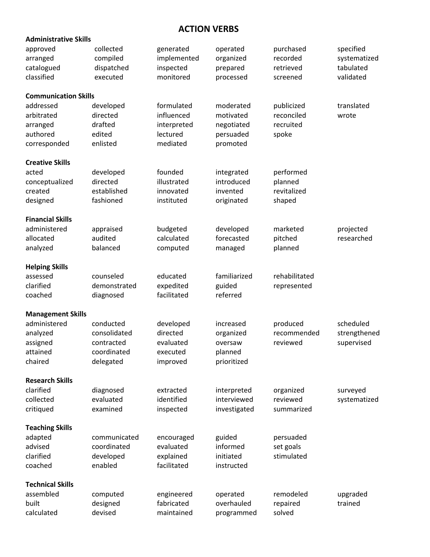# **ACTION VERBS**

| <b>Administrative Skills</b> |              |             |              |               |              |  |  |  |  |  |
|------------------------------|--------------|-------------|--------------|---------------|--------------|--|--|--|--|--|
| approved                     | collected    | generated   | operated     | purchased     | specified    |  |  |  |  |  |
| arranged                     | compiled     | implemented | organized    | recorded      | systematized |  |  |  |  |  |
| catalogued                   | dispatched   | inspected   | prepared     | retrieved     | tabulated    |  |  |  |  |  |
| classified                   | executed     | monitored   | processed    | screened      | validated    |  |  |  |  |  |
|                              |              |             |              |               |              |  |  |  |  |  |
| <b>Communication Skills</b>  |              |             |              |               |              |  |  |  |  |  |
| addressed                    | developed    | formulated  | moderated    | publicized    | translated   |  |  |  |  |  |
| arbitrated                   | directed     | influenced  | motivated    | reconciled    | wrote        |  |  |  |  |  |
| arranged                     | drafted      | interpreted | negotiated   | recruited     |              |  |  |  |  |  |
| authored                     | edited       | lectured    | persuaded    | spoke         |              |  |  |  |  |  |
| corresponded                 | enlisted     | mediated    | promoted     |               |              |  |  |  |  |  |
| <b>Creative Skills</b>       |              |             |              |               |              |  |  |  |  |  |
| acted                        | developed    | founded     | integrated   | performed     |              |  |  |  |  |  |
| conceptualized               | directed     | illustrated | introduced   | planned       |              |  |  |  |  |  |
| created                      | established  | innovated   | invented     | revitalized   |              |  |  |  |  |  |
| designed                     | fashioned    | instituted  | originated   | shaped        |              |  |  |  |  |  |
|                              |              |             |              |               |              |  |  |  |  |  |
| <b>Financial Skills</b>      |              |             |              |               |              |  |  |  |  |  |
| administered                 | appraised    | budgeted    | developed    | marketed      | projected    |  |  |  |  |  |
| allocated                    | audited      | calculated  | forecasted   | pitched       | researched   |  |  |  |  |  |
| analyzed                     | balanced     | computed    | managed      | planned       |              |  |  |  |  |  |
| <b>Helping Skills</b>        |              |             |              |               |              |  |  |  |  |  |
| assessed                     | counseled    | educated    | familiarized | rehabilitated |              |  |  |  |  |  |
| clarified                    | demonstrated | expedited   | guided       | represented   |              |  |  |  |  |  |
| coached                      | diagnosed    | facilitated | referred     |               |              |  |  |  |  |  |
|                              |              |             |              |               |              |  |  |  |  |  |
| <b>Management Skills</b>     |              |             |              |               |              |  |  |  |  |  |
| administered                 | conducted    | developed   | increased    | produced      | scheduled    |  |  |  |  |  |
| analyzed                     | consolidated | directed    | organized    | recommended   | strengthened |  |  |  |  |  |
| assigned                     | contracted   | evaluated   | oversaw      | reviewed      | supervised   |  |  |  |  |  |
| attained                     | coordinated  | executed    | planned      |               |              |  |  |  |  |  |
| chaired                      | delegated    | improved    | prioritized  |               |              |  |  |  |  |  |
| <b>Research Skills</b>       |              |             |              |               |              |  |  |  |  |  |
| clarified                    | diagnosed    | extracted   | interpreted  | organized     | surveyed     |  |  |  |  |  |
| collected                    | evaluated    | identified  | interviewed  | reviewed      | systematized |  |  |  |  |  |
| critiqued                    | examined     | inspected   | investigated | summarized    |              |  |  |  |  |  |
|                              |              |             |              |               |              |  |  |  |  |  |
| <b>Teaching Skills</b>       |              |             |              |               |              |  |  |  |  |  |
| adapted                      | communicated | encouraged  | guided       | persuaded     |              |  |  |  |  |  |
| advised                      | coordinated  | evaluated   | informed     | set goals     |              |  |  |  |  |  |
| clarified                    | developed    | explained   | initiated    | stimulated    |              |  |  |  |  |  |
| coached                      | enabled      | facilitated | instructed   |               |              |  |  |  |  |  |
| <b>Technical Skills</b>      |              |             |              |               |              |  |  |  |  |  |
| assembled                    | computed     | engineered  | operated     | remodeled     | upgraded     |  |  |  |  |  |
| built                        | designed     | fabricated  | overhauled   | repaired      | trained      |  |  |  |  |  |
| calculated                   | devised      | maintained  | programmed   | solved        |              |  |  |  |  |  |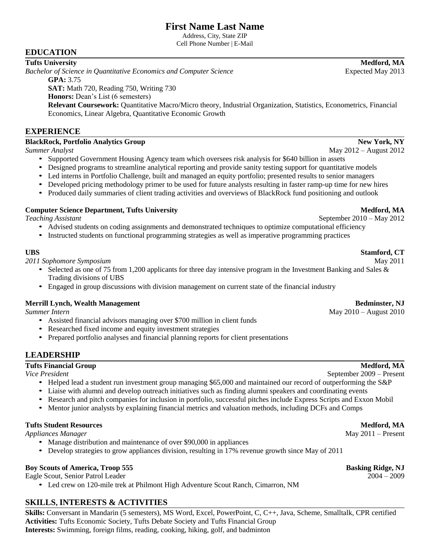Address, City, State ZIP Cell Phone Number | E-Mail

# **EDUCATION**

**Tufts University Medford, MA** *Bachelor of Science in Quantitative Economics and Computer Science* Expected May 2013 **GPA:** 3.75 **SAT:** Math 720, Reading 750, Writing 730 **Honors:** Dean's List (6 semesters)

**Relevant Coursework:** Quantitative Macro/Micro theory, Industrial Organization, Statistics, Econometrics, Financial Economics, Linear Algebra, Quantitative Economic Growth

# **EXPERIENCE**

# **BlackRock, Portfolio Analytics Group New York, NY**

- Supported Government Housing Agency team which oversees risk analysis for \$640 billion in assets
- Designed programs to streamline analytical reporting and provide sanity testing support for quantitative models
- Led interns in Portfolio Challenge, built and managed an equity portfolio; presented results to senior managers
- Developed pricing methodology primer to be used for future analysts resulting in faster ramp-up time for new hires
- Produced daily summaries of client trading activities and overviews of BlackRock fund positioning and outlook

# **Computer Science Department, Tufts University <b>Media and Science 2** and Medford, MA

*Teaching Assistant* September 2010 – May 2012

- Advised students on coding assignments and demonstrated techniques to optimize computational efficiency
- Instructed students on functional programming strategies as well as imperative programming practices

# **UBS Stamford, CT**

*2011 Sophomore Symposium* May 2011

- Selected as one of 75 from 1,200 applicants for three day intensive program in the Investment Banking and Sales & Trading divisions of UBS
- Engaged in group discussions with division management on current state of the financial industry

# **Merrill Lynch, Wealth Management Bedminster, NJ**

- Assisted financial advisors managing over \$700 million in client funds
- Researched fixed income and equity investment strategies
- Prepared portfolio analyses and financial planning reports for client presentations

# **LEADERSHIP**

# **Tufts Financial Group Medford, MA**

*Vice President* September 2009 – Present

- Helped lead a student run investment group managing \$65,000 and maintained our record of outperforming the S&P
- Liaise with alumni and develop outreach initiatives such as finding alumni speakers and coordinating events
- Research and pitch companies for inclusion in portfolio, successful pitches include Express Scripts and Exxon Mobil
- Mentor junior analysts by explaining financial metrics and valuation methods, including DCFs and Comps

# **Tufts Student Resources Medford, MA**

*Appliances Manager* Manager **Manager** May 2011 – Present

- Manage distribution and maintenance of over \$90,000 in appliances
- Develop strategies to grow appliances division, resulting in 17% revenue growth since May of 2011

# **Boy Scouts of America, Troop 555 Basking Ridge, NJ**

Eagle Scout, Senior Patrol Leader 2004 – 2009

• Led crew on 120-mile trek at Philmont High Adventure Scout Ranch, Cimarron, NM

# **SKILLS, INTERESTS & ACTIVITIES**

**Skills:** Conversant in Mandarin (5 semesters), MS Word, Excel, PowerPoint, C, C++, Java, Scheme, Smalltalk, CPR certified **Activities:** Tufts Economic Society, Tufts Debate Society and Tufts Financial Group **Interests:** Swimming, foreign films, reading, cooking, hiking, golf, and badminton

*Summer Intern* May 2010 – August 2010

**Summer Analyst** May 2012 – August 2012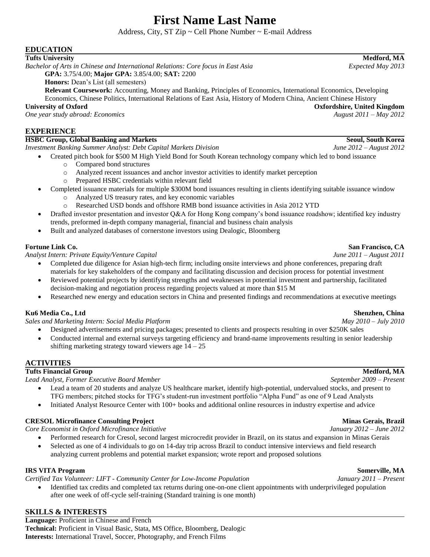Address, City, ST  $\mathbb{Z}ip \sim$  Cell Phone Number  $\sim$  E-mail Address

# **EDUCATION**

### **Tufts University Medford, MA**

*Bachelor of Arts in Chinese and International Relations: Core focus in East Asia Expected May 2013* **GPA:** 3.75/4.00; **Major GPA:** 3.85/4.00; **SAT:** 2200

**Honors:** Dean's List (all semesters)

**Relevant Coursework:** Accounting, Money and Banking, Principles of Economics, International Economics, Developing Economics, Chinese Politics, International Relations of East Asia, History of Modern China, Ancient Chinese History

**University of Oxford Oxfordshire, United Kingdom** *One year study abroad: Economics* 

# **EXPERIENCE**

### **HSBC Group, Global Banking and Markets Seoul, South Korea**

*Investment Banking Summer Analyst: Debt Capital Markets Division June 2012 – August 2012*

- Created pitch book for \$500 M High Yield Bond for South Korean technology company which led to bond issuance
	- o Compared bond structures
	- o Analyzed recent issuances and anchor investor activities to identify market perception
	- o Prepared HSBC credentials within relevant field
- Completed issuance materials for multiple \$300M bond issuances resulting in clients identifying suitable issuance window
	- o Analyzed US treasury rates, and key economic variables
	- o Researched USD bonds and offshore RMB bond issuance activities in Asia 2012 YTD
- Drafted investor presentation and investor Q&A for Hong Kong company's bond issuance roadshow; identified key industry trends, preformed in-depth company managerial, financial and business chain analysis
- Built and analyzed databases of cornerstone investors using Dealogic, Bloomberg

### **Fortune Link Co. San Francisco, CA**

*Analyst Intern: Private Equity/Venture Capital June 2011 – August 2011*

- Completed due diligence for Asian high-tech firm; including onsite interviews and phone conferences, preparing draft materials for key stakeholders of the company and facilitating discussion and decision process for potential investment Reviewed potential projects by identifying strengths and weaknesses in potential investment and partnership, facilitated
	- decision-making and negotiation process regarding projects valued at more than \$15 M
- Researched new energy and education sectors in China and presented findings and recommendations at executive meetings

# **Ku6 Media Co., Ltd Shenzhen, China**

*Sales and Marketing Intern: Social Media Platform May 2010 – July 2010*

- Designed advertisements and pricing packages; presented to clients and prospects resulting in over \$250K sales
- Conducted internal and external surveys targeting efficiency and brand-name improvements resulting in senior leadership shifting marketing strategy toward viewers age  $14 - 25$

# **ACTIVITIES**

# **Tufts Financial Group Medford, MA**

*Lead Analyst, Former Executive Board Member September 2009 – Present*

- Lead a team of 20 students and analyze US healthcare market, identify high-potential, undervalued stocks, and present to TFG members; pitched stocks for TFG's student-run investment portfolio "Alpha Fund" as one of 9 Lead Analysts
- Initiated Analyst Resource Center with 100+ books and additional online resources in industry expertise and advice

# **CRESOL Microfinance Consulting Project Minas Gerais, Brazil**

*Core Economist in Oxford Microfinance Initiative January 2012 – June 2012*

- Performed research for Cresol, second largest microcredit provider in Brazil, on its status and expansion in Minas Gerais
- Selected as one of 4 individuals to go on 14-day trip across Brazil to conduct intensive interviews and field research analyzing current problems and potential market expansion; wrote report and proposed solutions

### **IRS VITA Program Somerville, MA**

*Certified Tax Volunteer: LIFT - Community Center for Low-Income Population January 2011 – Present*

 Identified tax credits and completed tax returns during one-on-one client appointments with underprivileged population after one week of off-cycle self-training (Standard training is one month)

# **SKILLS & INTERESTS**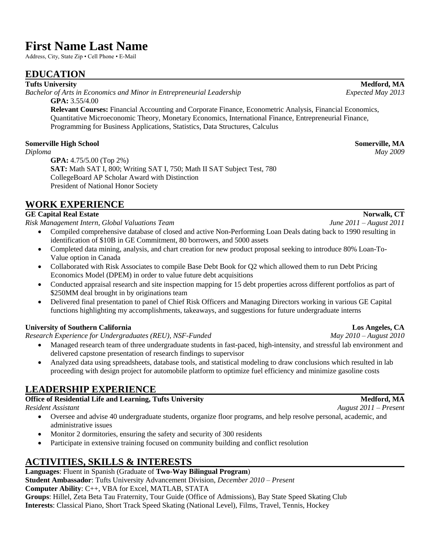Address, City, State Zip • Cell Phone • E-Mail

# **EDUCATION**

### **Tufts University Medford, MA**

*Bachelor of Arts in Economics and Minor in Entrepreneurial Leadership Expected May 2013* **GPA:** 3.55/4.00

**Relevant Courses:** Financial Accounting and Corporate Finance, Econometric Analysis, Financial Economics, Quantitative Microeconomic Theory, Monetary Economics, International Finance, Entrepreneurial Finance, Programming for Business Applications, Statistics, Data Structures, Calculus

# **Somerville High School Somerville, MA**

*Diploma May 2009* **GPA:** 4.75/5.00 (Top 2%) **SAT:** Math SAT I, 800; Writing SAT I, 750; Math II SAT Subject Test, 780 CollegeBoard AP Scholar Award with Distinction President of National Honor Society

# **WORK EXPERIENCE**

# **GE Capital Real Estate Norwalk, CT**

*Risk Management Intern, Global Valuations Team June 2011 – August 2011*

- Compiled comprehensive database of closed and active Non-Performing Loan Deals dating back to 1990 resulting in identification of \$10B in GE Commitment, 80 borrowers, and 5000 assets
- Completed data mining, analysis, and chart creation for new product proposal seeking to introduce 80% Loan-To-Value option in Canada
- Collaborated with Risk Associates to compile Base Debt Book for Q2 which allowed them to run Debt Pricing Economics Model (DPEM) in order to value future debt acquisitions
- Conducted appraisal research and site inspection mapping for 15 debt properties across different portfolios as part of \$250MM deal brought in by originations team
- Delivered final presentation to panel of Chief Risk Officers and Managing Directors working in various GE Capital functions highlighting my accomplishments, takeaways, and suggestions for future undergraduate interns

# **University of Southern California Los Angeles, CA**

*Research Experience for Undergraduates (REU), NSF-Funded May 2010 – August 2010*

- Managed research team of three undergraduate students in fast-paced, high-intensity, and stressful lab environment and delivered capstone presentation of research findings to supervisor
- Analyzed data using spreadsheets, database tools, and statistical modeling to draw conclusions which resulted in lab proceeding with design project for automobile platform to optimize fuel efficiency and minimize gasoline costs

# **LEADERSHIP EXPERIENCE**

# **Office of Residential Life and Learning, Tufts University Medford, MA**

*Resident Assistant August 2011 – Present*

- Oversee and advise 40 undergraduate students, organize floor programs, and help resolve personal, academic, and administrative issues
- Monitor 2 dormitories, ensuring the safety and security of 300 residents
- Participate in extensive training focused on community building and conflict resolution

# **ACTIVITIES, SKILLS & INTERESTS**

# **Languages**: Fluent in Spanish (Graduate of **Two-Way Bilingual Program**)

**Student Ambassador**: Tufts University Advancement Division, *December 2010 – Present* **Computer Ability**: C++, VBA for Excel, MATLAB, STATA

**Groups**: Hillel, Zeta Beta Tau Fraternity, Tour Guide (Office of Admissions), Bay State Speed Skating Club **Interests**: Classical Piano, Short Track Speed Skating (National Level), Films, Travel, Tennis, Hockey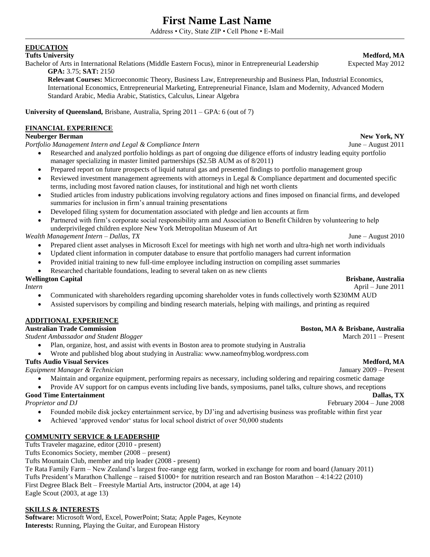Address • City, State ZIP • Cell Phone • E-Mail

# **EDUCATION**

### **Tufts University Medford, MA**

Bachelor of Arts in International Relations (Middle Eastern Focus), minor in Entrepreneurial Leadership Expected May 2012 **GPA:** 3.75; **SAT:** 2150

**Relevant Courses:** Microeconomic Theory, Business Law, Entrepreneurship and Business Plan, Industrial Economics, International Economics, Entrepreneurial Marketing, Entrepreneurial Finance, Islam and Modernity, Advanced Modern Standard Arabic, Media Arabic, Statistics, Calculus, Linear Algebra

**University of Queensland,** Brisbane, Australia, Spring 2011 – GPA: 6 (out of 7)

# **FINANCIAL EXPERIENCE**

### **Neuberger Berman New York, NY**

*Portfolio Management Intern and Legal & Compliance Intern* June – August 2011

- Researched and analyzed portfolio holdings as part of ongoing due diligence efforts of industry leading equity portfolio manager specializing in master limited partnerships (\$2.5B AUM as of 8/2011)
- Prepared report on future prospects of liquid natural gas and presented findings to portfolio management group
- Reviewed investment management agreements with attorneys in Legal & Compliance department and documented specific terms, including most favored nation clauses, for institutional and high net worth clients
- Studied articles from industry publications involving regulatory actions and fines imposed on financial firms, and developed summaries for inclusion in firm's annual training presentations
- Developed filing system for documentation associated with pledge and lien accounts at firm
- Partnered with firm's corporate social responsibility arm and Association to Benefit Children by volunteering to help underprivileged children explore New York Metropolitan Museum of Art

### *Wealth Management Intern – Dallas, TX* June – August 2010

- Prepared client asset analyses in Microsoft Excel for meetings with high net worth and ultra-high net worth individuals
- Updated client information in computer database to ensure that portfolio managers had current information
- Provided initial training to new full-time employee including instruction on compiling asset summaries
- Researched charitable foundations, leading to several taken on as new clients

### **Wellington Capital Brisbane, Australia**

*Intern* April – June 2011

- Communicated with shareholders regarding upcoming shareholder votes in funds collectively worth \$230MM AUD
- Assisted supervisors by compiling and binding research materials, helping with mailings, and printing as required

### **ADDITIONAL EXPERIENCE**

## **Australian Trade Commission Boston, MA & Brisbane, Australia**

*Student Ambassador and Student Blogger* March 2011 – Present

- Plan, organize, host, and assist with events in Boston area to promote studying in Australia
- Wrote and published blog about studying in Australia: www.nameofmyblog.wordpress.com

### **Tufts Audio Visual Services Medford, MA**

*Equipment Manager & Technician* January 2009 – Present

- Maintain and organize equipment, performing repairs as necessary, including soldering and repairing cosmetic damage
- Provide AV support for on campus events including live bands, symposiums, panel talks, culture shows, and receptions

### **Good Time Entertainment Dallas, TX**

*Proprietor and DJ* February 2004 – June 2008

- Founded mobile disk jockey entertainment service, by DJ'ing and advertising business was profitable within first year
- Achieved 'approved vendor' status for local school district of over 50,000 students

### **COMMUNITY SERVICE & LEADERSHIP**

Tufts Traveler magazine, editor (2010 - present)

Tufts Economics Society, member (2008 – present)

Tufts Mountain Club, member and trip leader (2008 - present)

Te Rata Family Farm – New Zealand's largest free-range egg farm, worked in exchange for room and board (January 2011) Tufts President's Marathon Challenge – raised \$1000+ for nutrition research and ran Boston Marathon – 4:14:22 (2010) First Degree Black Belt – Freestyle Martial Arts, instructor (2004, at age 14) Eagle Scout (2003, at age 13)

### **SKILLS & INTERESTS**

**Software:** Microsoft Word, Excel, PowerPoint; Stata; Apple Pages, Keynote **Interests:** Running, Playing the Guitar, and European History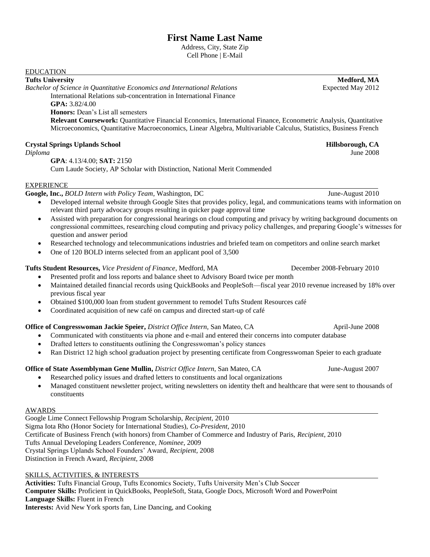Address, City, State Zip Cell Phone | E-Mail

### EDUCATION

### **Tufts University Medford, MA**

*Bachelor of Science in Quantitative Economics and International Relations* Expected May 2012 International Relations sub-concentration in International Finance **GPA:** 3.82/4.00

## **Honors:** Dean's List all semesters

**Relevant Coursework:** Quantitative Financial Economics, International Finance, Econometric Analysis, Quantitative Microeconomics, Quantitative Macroeconomics, Linear Algebra, Multivariable Calculus, Statistics, Business French

### **Crystal Springs Uplands School Hillsborough, CA**

*Diploma* June 2008

**GPA**: 4.13/4.00; **SAT:** 2150 Cum Laude Society, AP Scholar with Distinction, National Merit Commended

### **EXPERIENCE**

**Google, Inc.,** *BOLD Intern with Policy Team*, Washington, DC June-August 2010

- Developed internal website through Google Sites that provides policy, legal, and communications teams with information on relevant third party advocacy groups resulting in quicker page approval time
- Assisted with preparation for congressional hearings on cloud computing and privacy by writing background documents on congressional committees, researching cloud computing and privacy policy challenges, and preparing Google's witnesses for question and answer period
- Researched technology and telecommunications industries and briefed team on competitors and online search market
- One of 120 BOLD interns selected from an applicant pool of 3,500

### **Tufts Student Resources,** *Vice President of Finance*, Medford, MA December 2008-February 2010

- Presented profit and loss reports and balance sheet to Advisory Board twice per month
- Maintained detailed financial records using QuickBooks and PeopleSoft—fiscal year 2010 revenue increased by 18% over previous fiscal year
- Obtained \$100,000 loan from student government to remodel Tufts Student Resources café
- Coordinated acquisition of new café on campus and directed start-up of café

# **Office of Congresswoman Jackie Speier,** *District Office Intern*, San Mateo, CA April-June 2008

- Communicated with constituents via phone and e-mail and entered their concerns into computer database
- Drafted letters to constituents outlining the Congresswoman's policy stances
- Ran District 12 high school graduation project by presenting certificate from Congresswoman Speier to each graduate

# **Office of State Assemblyman Gene Mullin,** *District Office Intern*, San Mateo, CA June-August 2007

- Researched policy issues and drafted letters to constituents and local organizations
	- Managed constituent newsletter project, writing newsletters on identity theft and healthcare that were sent to thousands of constituents

### AWARDS

Google Lime Connect Fellowship Program Scholarship, *Recipient,* 2010 Sigma Iota Rho (Honor Society for International Studies), *Co-President,* 2010 Certificate of Business French (with honors) from Chamber of Commerce and Industry of Paris, *Recipient*, 2010 Tufts Annual Developing Leaders Conference, *Nominee*, 2009 Crystal Springs Uplands School Founders' Award, *Recipient,* 2008 Distinction in French Award, *Recipient,* 2008

### SKILLS, ACTIVITIES, & INTERESTS

**Activities:** Tufts Financial Group, Tufts Economics Society, Tufts University Men's Club Soccer **Computer Skills:** Proficient in QuickBooks, PeopleSoft, Stata, Google Docs, Microsoft Word and PowerPoint **Language Skills:** Fluent in French **Interests:** Avid New York sports fan, Line Dancing, and Cooking